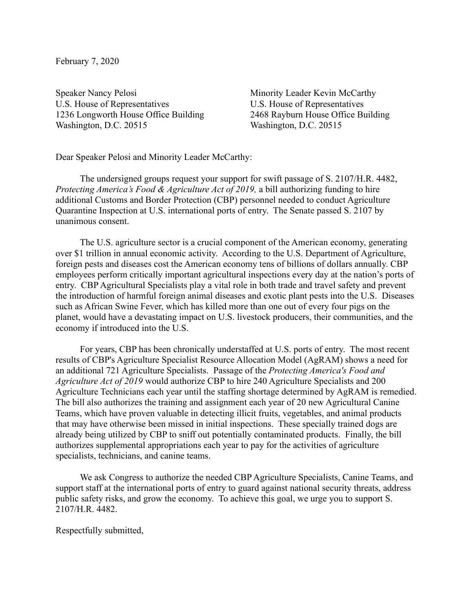February 7, 2020

Speaker Nancy Pelosi U.S. House of Representatives 1236 Longworth House Office Building Washington, D.C. 20515

Minority Leader Kevin McCarthy U.S. House of Representatives 2468 Rayburn House Office Building Washington, D.C. 20515

Dear Speaker Pelosi and Minority Leader McCarthy:

The undersigned groups request your support for swift passage of S. 2107/H.R. 4482, *Protecting America's Food & Agriculture Act of 2019*, a bill authorizing funding to hire additional Customs and Border Protection (CBP) personnel needed to conduct Agriculture Quarantine Inspection at U.S. international ports of entry. The Senate passed S. 2107 by unanimous consent.

The U.S. agriculture sector is a crucial component of the American economy, generating over \$1 trillion in annual economic activity. According to the U.S. Department of Agriculture, foreign pests and diseases cost the American economy tens of billions of dollars annually. CBP employees perform critically important agricultural inspections every day at the nation's ports of entry. CBP Agricultural Specialists play a vital role in both trade and travel safety and prevent the introduction of harmful foreign animal diseases and exotic plant pests into the U.S. Diseases such as African Swine Fever, which has killed more than one out of every four pigs on the planet, would have a devastating impact on U.S. livestock producers, their communities, and the economy if introduced into the U.S.

For years, CBP has been chronically understaffed at U.S. ports of entry. The most recent results of CBP's Agriculture Specialist Resource Allocation Model (AgRAM) shows a need for an additional 721 Agriculture Specialists. Passage of the *Protecting America's Food and Agriculture Act of 2019* would authorize CBP to hire 240 Agriculture Specialists and 200 Agriculture Technicians each year until the staffing shortage determined by AgRAM is remedied. The bill also authorizes the training and assignment each year of 20 new Agricultural Canine Teams, which have proven valuable in detecting illicit fruits, vegetables, and animal products that may have otherwise been missed in initial inspections. These specially trained dogs are already being utilized by CBP to sniff out potentially contaminated products. Finally, the bill authorizes supplemental appropriations each year to pay for the activities of agriculture specialists, technicians, and canine teams.

We ask Congress to authorize the needed CBP Agriculture Specialists, Canine Teams, and support staff at the international ports of entry to guard against national security threats, address public safety risks, and grow the economy. To achieve this goal, we urge you to support S. 2107/H.R. 4482.

Respectfully submitted,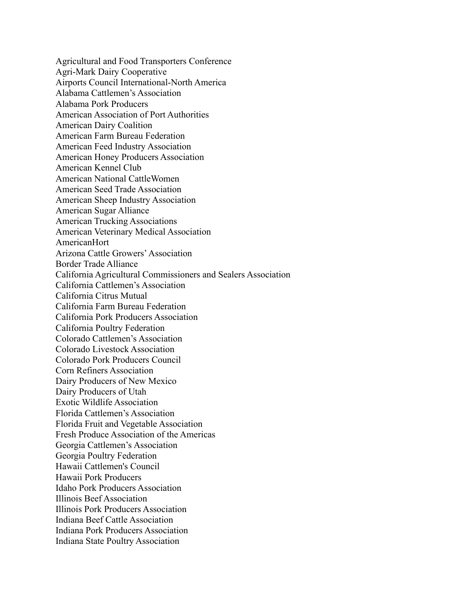Agricultural and Food Transporters Conference Agri-Mark Dairy Cooperative Airports Council International-North America Alabama Cattlemen's Association Alabama Pork Producers American Association of Port Authorities American Dairy Coalition American Farm Bureau Federation American Feed Industry Association American Honey Producers Association American Kennel Club American National CattleWomen American Seed Trade Association American Sheep Industry Association American Sugar Alliance American Trucking Associations American Veterinary Medical Association AmericanHort Arizona Cattle Growers' Association Border Trade Alliance California Agricultural Commissioners and Sealers Association California Cattlemen's Association California Citrus Mutual California Farm Bureau Federation California Pork Producers Association California Poultry Federation Colorado Cattlemen's Association Colorado Livestock Association Colorado Pork Producers Council Corn Refiners Association Dairy Producers of New Mexico Dairy Producers of Utah Exotic Wildlife Association Florida Cattlemen's Association Florida Fruit and Vegetable Association Fresh Produce Association of the Americas Georgia Cattlemen's Association Georgia Poultry Federation Hawaii Cattlemen's Council Hawaii Pork Producers Idaho Pork Producers Association Illinois Beef Association Illinois Pork Producers Association Indiana Beef Cattle Association Indiana Pork Producers Association Indiana State Poultry Association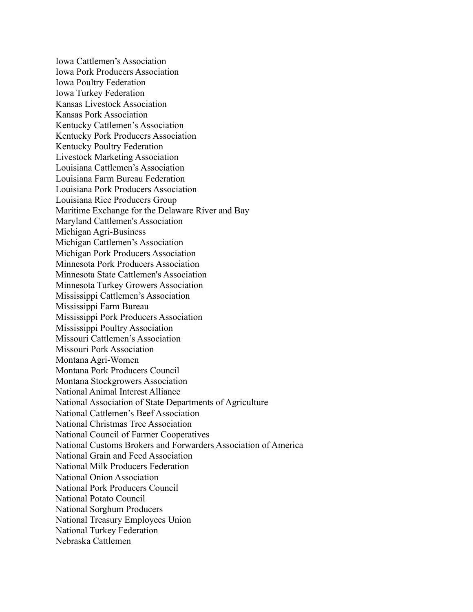Iowa Cattlemen's Association Iowa Pork Producers Association Iowa Poultry Federation Iowa Turkey Federation Kansas Livestock Association Kansas Pork Association Kentucky Cattlemen's Association Kentucky Pork Producers Association Kentucky Poultry Federation Livestock Marketing Association Louisiana Cattlemen's Association Louisiana Farm Bureau Federation Louisiana Pork Producers Association Louisiana Rice Producers Group Maritime Exchange for the Delaware River and Bay Maryland Cattlemen's Association Michigan Agri-Business Michigan Cattlemen's Association Michigan Pork Producers Association Minnesota Pork Producers Association Minnesota State Cattlemen's Association Minnesota Turkey Growers Association Mississippi Cattlemen's Association Mississippi Farm Bureau Mississippi Pork Producers Association Mississippi Poultry Association Missouri Cattlemen's Association Missouri Pork Association Montana Agri-Women Montana Pork Producers Council Montana Stockgrowers Association National Animal Interest Alliance National Association of State Departments of Agriculture National Cattlemen's Beef Association National Christmas Tree Association National Council of Farmer Cooperatives National Customs Brokers and Forwarders Association of America National Grain and Feed Association National Milk Producers Federation National Onion Association National Pork Producers Council National Potato Council National Sorghum Producers National Treasury Employees Union National Turkey Federation Nebraska Cattlemen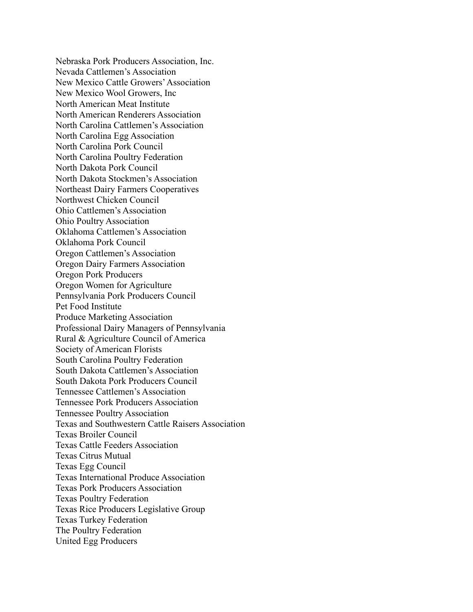Nebraska Pork Producers Association, Inc. Nevada Cattlemen's Association New Mexico Cattle Growers' Association New Mexico Wool Growers, Inc North American Meat Institute North American Renderers Association North Carolina Cattlemen's Association North Carolina Egg Association North Carolina Pork Council North Carolina Poultry Federation North Dakota Pork Council North Dakota Stockmen's Association Northeast Dairy Farmers Cooperatives Northwest Chicken Council Ohio Cattlemen's Association Ohio Poultry Association Oklahoma Cattlemen's Association Oklahoma Pork Council Oregon Cattlemen's Association Oregon Dairy Farmers Association Oregon Pork Producers Oregon Women for Agriculture Pennsylvania Pork Producers Council Pet Food Institute Produce Marketing Association Professional Dairy Managers of Pennsylvania Rural & Agriculture Council of America Society of American Florists South Carolina Poultry Federation South Dakota Cattlemen's Association South Dakota Pork Producers Council Tennessee Cattlemen's Association Tennessee Pork Producers Association Tennessee Poultry Association Texas and Southwestern Cattle Raisers Association Texas Broiler Council Texas Cattle Feeders Association Texas Citrus Mutual Texas Egg Council Texas International Produce Association Texas Pork Producers Association Texas Poultry Federation Texas Rice Producers Legislative Group Texas Turkey Federation The Poultry Federation United Egg Producers